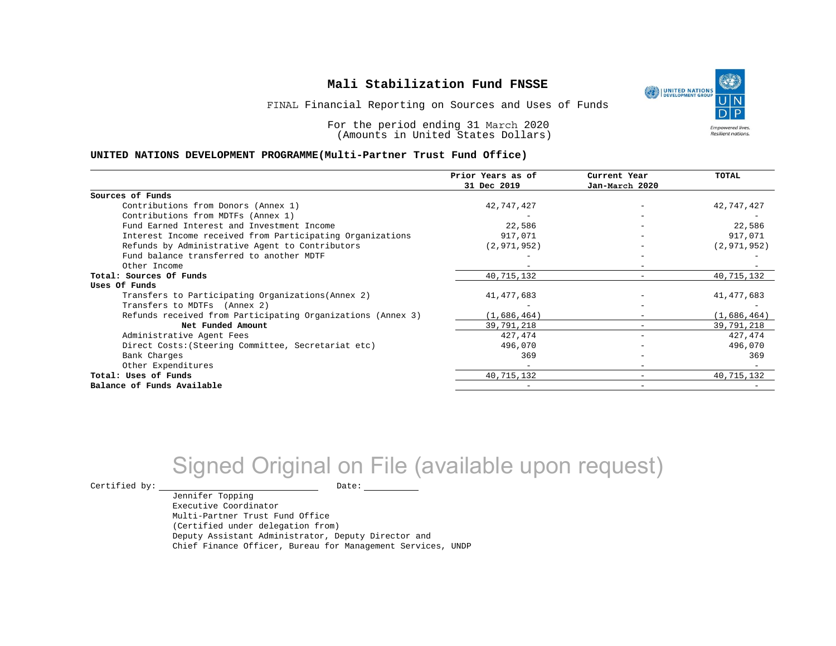

FINAL Financial Reporting on Sources and Uses of Funds

For the period ending 31 March 2020 (Amounts in United States Dollars)

#### **UNITED NATIONS DEVELOPMENT PROGRAMME(Multi-Partner Trust Fund Office)**

|                                                             | Prior Years as of<br>31 Dec 2019 | Current Year<br>Jan-March 2020 | <b>TOTAL</b>  |
|-------------------------------------------------------------|----------------------------------|--------------------------------|---------------|
|                                                             |                                  |                                |               |
| Sources of Funds                                            |                                  |                                |               |
| Contributions from Donors (Annex 1)                         | 42,747,427                       |                                | 42,747,427    |
| Contributions from MDTFs (Annex 1)                          |                                  |                                |               |
| Fund Earned Interest and Investment Income                  | 22,586                           |                                | 22,586        |
| Interest Income received from Participating Organizations   | 917,071                          | $\overline{\phantom{0}}$       | 917,071       |
| Refunds by Administrative Agent to Contributors             | (2, 971, 952)                    |                                | (2, 971, 952) |
| Fund balance transferred to another MDTF                    |                                  |                                |               |
| Other Income                                                |                                  |                                |               |
| Total: Sources Of Funds                                     | 40, 715, 132                     |                                | 40,715,132    |
| Uses Of Funds                                               |                                  |                                |               |
| Transfers to Participating Organizations (Annex 2)          | 41, 477, 683                     |                                | 41,477,683    |
| Transfers to MDTFs (Annex 2)                                |                                  |                                |               |
| Refunds received from Participating Organizations (Annex 3) | (1,686,464)                      | -                              | (1,686,464)   |
| Net Funded Amount                                           | 39,791,218                       |                                | 39,791,218    |
| Administrative Agent Fees                                   | 427, 474                         | -                              | 427,474       |
| Direct Costs: (Steering Committee, Secretariat etc)         | 496,070                          |                                | 496,070       |
| Bank Charges                                                | 369                              |                                | 369           |
| Other Expenditures                                          |                                  |                                |               |
| Total: Uses of Funds                                        | 40, 715, 132                     |                                | 40,715,132    |
| Balance of Funds Available                                  |                                  |                                |               |

# Signed Original on File (available upon request)

 $\begin{tabular}{ccccc} \multicolumn{2}{c|}{\textbf{Certified by:}} & & \multicolumn{2}{c|}{\textbf{Date:}} \\ \multicolumn{2}{c|}{\textbf{Date:}} & & \multicolumn{2}{c|}{\textbf{Date:}} \\ \multicolumn{2}{c|}{\textbf{Date:}} & & \multicolumn{2}{c|}{\textbf{Date:}} \\ \multicolumn{2}{c|}{\textbf{Date:}} & & \multicolumn{2}{c|}{\textbf{Date:}} \\ \multicolumn{2}{c|}{\textbf{Date:}} & & \multicolumn{2}{c|}{\textbf{Date:}} \\ \multicolumn{2}{c|}{\textbf{$ 

Jennifer Topping

Executive Coordinator Multi-Partner Trust Fund Office (Certified under delegation from) Deputy Assistant Administrator, Deputy Director and Chief Finance Officer, Bureau for Management Services, UNDP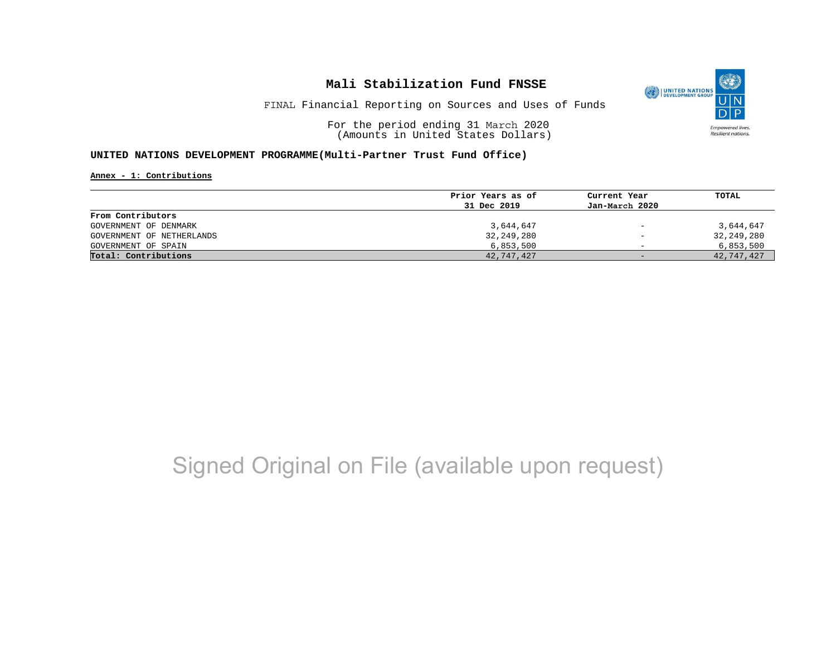

FINAL Financial Reporting on Sources and Uses of Funds

For the period ending 31 March 2020 (Amounts in United States Dollars)

#### **UNITED NATIONS DEVELOPMENT PROGRAMME(Multi-Partner Trust Fund Office)**

**Annex - 1: Contributions**

|                           | Prior Years as of | Current Year             | TOTAL      |
|---------------------------|-------------------|--------------------------|------------|
|                           | 31 Dec 2019       | Jan-March 2020           |            |
| From Contributors         |                   |                          |            |
| GOVERNMENT OF DENMARK     | 3,644,647         | $\overline{\phantom{m}}$ | 3,644,647  |
| GOVERNMENT OF NETHERLANDS | 32,249,280        | $\qquad \qquad -$        | 32,249,280 |
| GOVERNMENT OF SPAIN       | 6,853,500         | $\overline{\phantom{0}}$ | 6,853,500  |
| Total: Contributions      | 42,747,427        | $-$                      | 42,747,427 |

# Signed Original on File (available upon request)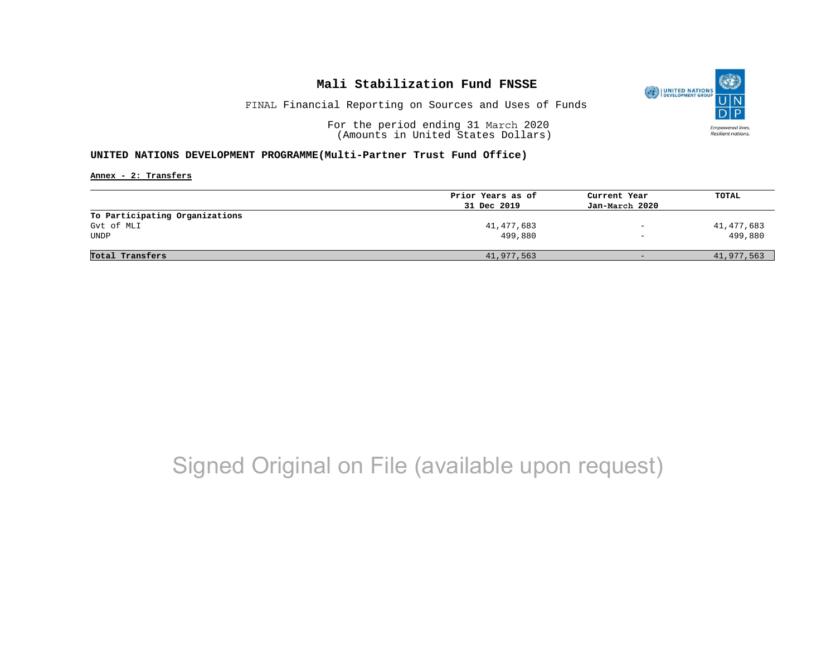

FINAL Financial Reporting on Sources and Uses of Funds

For the period ending 31 March 2020 (Amounts in United States Dollars)

#### **UNITED NATIONS DEVELOPMENT PROGRAMME(Multi-Partner Trust Fund Office)**

**Annex - 2: Transfers**

| Prior Years as of | Current Year             | TOTAL      |
|-------------------|--------------------------|------------|
| 31 Dec 2019       | Jan-March 2020           |            |
|                   |                          |            |
| 41,477,683        | $\overline{\phantom{a}}$ | 41,477,683 |
| 499,880           | $\overline{\phantom{0}}$ | 499,880    |
|                   |                          |            |
| 41,977,563        | $-$                      | 41,977,563 |
|                   |                          |            |

# Signed Original on File (available upon request)